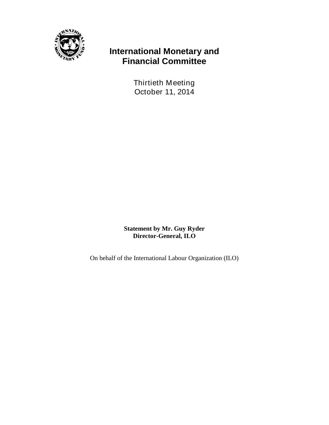

## **International Monetary and Financial Committee**

Thirtieth Meeting October 11, 2014

**Statement by Mr. Guy Ryder Director-General, ILO**

On behalf of the International Labour Organization (ILO)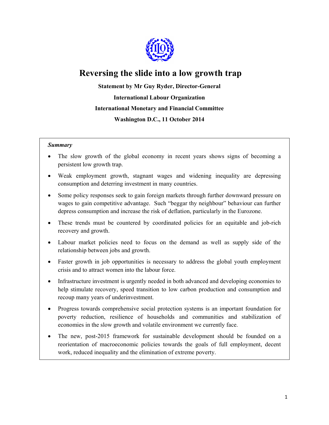

# **Reversing the slide into a low growth trap**

## **Statement by Mr Guy Ryder, Director-General International Labour Organization International Monetary and Financial Committee Washington D.C., 11 October 2014**

#### *Summary*

- The slow growth of the global economy in recent years shows signs of becoming a persistent low growth trap.
- Weak employment growth, stagnant wages and widening inequality are depressing consumption and deterring investment in many countries.
- Some policy responses seek to gain foreign markets through further downward pressure on wages to gain competitive advantage. Such "beggar thy neighbour" behaviour can further depress consumption and increase the risk of deflation, particularly in the Eurozone.
- These trends must be countered by coordinated policies for an equitable and job-rich recovery and growth.
- Labour market policies need to focus on the demand as well as supply side of the relationship between jobs and growth.
- Faster growth in job opportunities is necessary to address the global youth employment crisis and to attract women into the labour force.
- Infrastructure investment is urgently needed in both advanced and developing economies to help stimulate recovery, speed transition to low carbon production and consumption and recoup many years of underinvestment.
- Progress towards comprehensive social protection systems is an important foundation for poverty reduction, resilience of households and communities and stabilization of economies in the slow growth and volatile environment we currently face.
- The new, post-2015 framework for sustainable development should be founded on a reorientation of macroeconomic policies towards the goals of full employment, decent work, reduced inequality and the elimination of extreme poverty.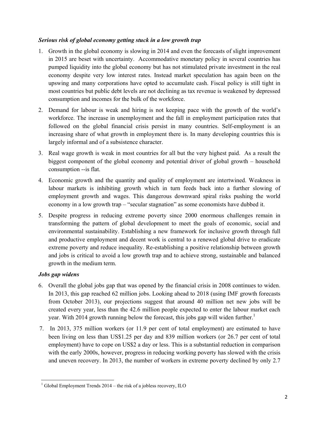### *Serious risk of global economy getting stuck in a low growth trap*

- 1. Growth in the global economy is slowing in 2014 and even the forecasts of slight improvement in 2015 are beset with uncertainty. Accommodative monetary policy in several countries has pumped liquidity into the global economy but has not stimulated private investment in the real economy despite very low interest rates. Instead market speculation has again been on the upswing and many corporations have opted to accumulate cash. Fiscal policy is still tight in most countries but public debt levels are not declining as tax revenue is weakened by depressed consumption and incomes for the bulk of the workforce.
- 2. Demand for labour is weak and hiring is not keeping pace with the growth of the world's workforce. The increase in unemployment and the fall in employment participation rates that followed on the global financial crisis persist in many countries. Self-employment is an increasing share of what growth in employment there is. In many developing countries this is largely informal and of a subsistence character.
- 3. Real wage growth is weak in most countries for all but the very highest paid. As a result the biggest component of the global economy and potential driver of global growth – household consumption --is flat.
- 4. Economic growth and the quantity and quality of employment are intertwined. Weakness in labour markets is inhibiting growth which in turn feeds back into a further slowing of employment growth and wages. This dangerous downward spiral risks pushing the world economy in a low growth trap – "secular stagnation" as some economists have dubbed it.
- 5. Despite progress in reducing extreme poverty since 2000 enormous challenges remain in transforming the pattern of global development to meet the goals of economic, social and environmental sustainability. Establishing a new framework for inclusive growth through full and productive employment and decent work is central to a renewed global drive to eradicate extreme poverty and reduce inequality. Re-establishing a positive relationship between growth and jobs is critical to avoid a low growth trap and to achieve strong, sustainable and balanced growth in the medium term.

## *Jobs gap widens*

- 6. Overall the global jobs gap that was opened by the financial crisis in 2008 continues to widen. In 2013, this gap reached 62 million jobs. Looking ahead to 2018 (using IMF growth forecasts from October 2013), our projections suggest that around 40 million net new jobs will be created every year, less than the 42.6 million people expected to enter the labour market each year. With 2014 growth running below the forecast, this jobs gap will widen further.<sup>1</sup>
- 7. In 2013, 375 million workers (or 11.9 per cent of total employment) are estimated to have been living on less than US\$1.25 per day and 839 million workers (or 26.7 per cent of total employment) have to cope on US\$2 a day or less. This is a substantial reduction in comparison with the early 2000s, however, progress in reducing working poverty has slowed with the crisis and uneven recovery. In 2013, the number of workers in extreme poverty declined by only 2.7

 $\ddot{ }$ <sup>1</sup> Global Employment Trends  $2014$  – the risk of a jobless recovery, ILO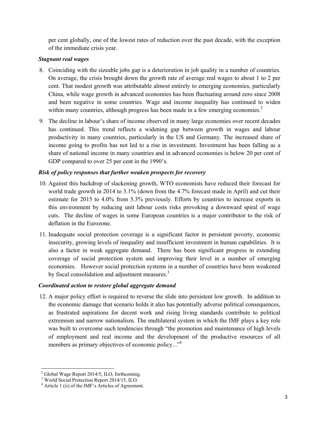per cent globally, one of the lowest rates of reduction over the past decade, with the exception of the immediate crisis year.

#### *Stagnant real wages*

- 8. Coinciding with the sizeable jobs gap is a deterioration in job quality in a number of countries. On average, the crisis brought down the growth rate of average real wages to about 1 to 2 per cent. That modest growth was attributable almost entirely to emerging economies, particularly China, while wage growth in advanced economies has been fluctuating around zero since 2008 and been negative in some countries. Wage and income inequality has continued to widen within many countries, although progress has been made in a few emerging economies.<sup>2</sup>
- 9. The decline in labour's share of income observed in many large economies over recent decades has continued. This trend reflects a widening gap between growth in wages and labour productivity in many countries, particularly in the US and Germany. The increased share of income going to profits has not led to a rise in investment. Investment has been falling as a share of national income in many countries and in advanced economies is below 20 per cent of GDP compared to over 25 per cent in the 1990's.

### *Risk of policy responses that further weaken prospects for recovery*

- 10. Against this backdrop of slackening growth, WTO economists have reduced their forecast for world trade growth in 2014 to 3.1% (down from the 4.7% forecast made in April) and cut their estimate for 2015 to 4.0% from 5.3% previously. Efforts by countries to increase exports in this environment by reducing unit labour costs risks provoking a downward spiral of wage cuts. The decline of wages in some European countries is a major contributor to the risk of deflation in the Eurozone.
- 11. Inadequate social protection coverage is a significant factor in persistent poverty, economic insecurity, growing levels of inequality and insufficient investment in human capabilities. It is also a factor in weak aggregate demand. There has been significant progress in extending coverage of social protection system and improving their level in a number of emerging economies. However social protection systems in a number of countries have been weakened by fiscal consolidation and adjustment measures.<sup>3</sup>

#### *Coordinated action to restore global aggregate demand*

12. A major policy effort is required to reverse the slide into persistent low growth. In addition to the economic damage that scenario holds it also has potentially adverse political consequences, as frustrated aspirations for decent work and rising living standards contribute to political extremism and narrow nationalism. The multilateral system in which the IMF plays a key role was built to overcome such tendencies through "the promotion and maintenance of high levels of employment and real income and the development of the productive resources of all members as primary objectives of economic policy..."<sup>4</sup>

<sup>&</sup>lt;sup>2</sup> Global Wage Report 2014/5, ILO, forthcoming.

<sup>3</sup> World Social Protection Report 2014/15, ILO.

<sup>4</sup> Article 1 (ii) of the IMF's Articles of Agreement.